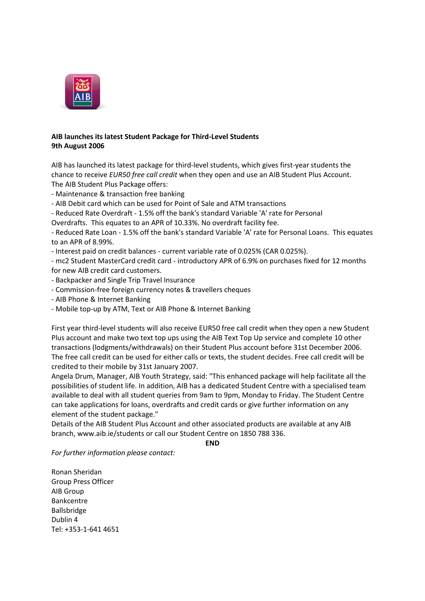

## **AIB launches its latest Student Package for Third-Level Students 9th August 2006**

AIB has launched its latest package for third-level students, which gives first-year students the chance to receive *EUR50 free call credit* when they open and use an AIB Student Plus Account. The AIB Student Plus Package offers:

- Maintenance & transaction free banking

- AIB Debit card which can be used for Point of Sale and ATM transactions

- Reduced Rate Overdraft - 1.5% off the bank's standard Variable 'A' rate for Personal

Overdrafts. This equates to an APR of 10.33%. No overdraft facility fee.

- Reduced Rate Loan - 1.5% off the bank's standard Variable 'A' rate for Personal Loans. This equates to an APR of 8.99%.

- Interest paid on credit balances - current variable rate of 0.025% (CAR 0.025%).

- mc2 Student MasterCard credit card - introductory APR of 6.9% on purchases fixed for 12 months for new AIB credit card customers.

- Backpacker and Single Trip Travel Insurance
- Commission-free foreign currency notes & travellers cheques
- AIB Phone & Internet Banking
- Mobile top-up by ATM, Text or AIB Phone & Internet Banking

First year third-level students will also receive EUR50 free call credit when they open a new Student Plus account and make two text top ups using the AIB Text Top Up service and complete 10 other transactions (lodgments/withdrawals) on their Student Plus account before 31st December 2006. The free call credit can be used for either calls or texts, the student decides. Free call credit will be credited to their mobile by 31st January 2007.

Angela Drum, Manager, AIB Youth Strategy, said: "This enhanced package will help facilitate all the possibilities of student life. In addition, AIB has a dedicated Student Centre with a specialised team available to deal with all student queries from 9am to 9pm, Monday to Friday. The Student Centre can take applications for loans, overdrafts and credit cards or give further information on any element of the student package."

Details of the AIB Student Plus Account and other associated products are available at any AIB branch, www.aib.ie/students or call our Student Centre on 1850 788 336.

**END**

*For further information please contact:*

Ronan Sheridan Group Press Officer AIB Group Bankcentre Ballsbridge Dublin 4 Tel: +353-1-641 4651